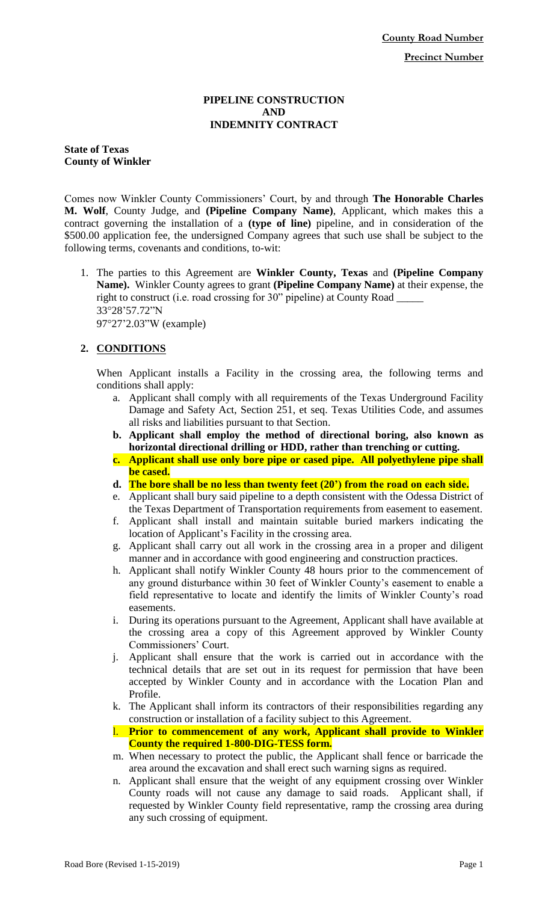#### **PIPELINE CONSTRUCTION AND INDEMNITY CONTRACT**

**State of Texas County of Winkler**

Comes now Winkler County Commissioners' Court, by and through **The Honorable Charles M. Wolf**, County Judge, and **(Pipeline Company Name)**, Applicant, which makes this a contract governing the installation of a **(type of line)** pipeline, and in consideration of the \$500.00 application fee, the undersigned Company agrees that such use shall be subject to the following terms, covenants and conditions, to-wit:

1. The parties to this Agreement are **Winkler County, Texas** and **(Pipeline Company Name).** Winkler County agrees to grant **(Pipeline Company Name)** at their expense, the right to construct (i.e. road crossing for 30" pipeline) at County Road 3328'57.72"N 9727'2.03"W (example)

# **2. CONDITIONS**

When Applicant installs a Facility in the crossing area, the following terms and conditions shall apply:

- a. Applicant shall comply with all requirements of the Texas Underground Facility Damage and Safety Act, Section 251, et seq. Texas Utilities Code, and assumes all risks and liabilities pursuant to that Section.
- **b. Applicant shall employ the method of directional boring, also known as horizontal directional drilling or HDD, rather than trenching or cutting.**
- **c. Applicant shall use only bore pipe or cased pipe. All polyethylene pipe shall be cased.**
- **d. The bore shall be no less than twenty feet (20') from the road on each side.**
- e. Applicant shall bury said pipeline to a depth consistent with the Odessa District of the Texas Department of Transportation requirements from easement to easement.
- f. Applicant shall install and maintain suitable buried markers indicating the location of Applicant's Facility in the crossing area.
- g. Applicant shall carry out all work in the crossing area in a proper and diligent manner and in accordance with good engineering and construction practices.
- h. Applicant shall notify Winkler County 48 hours prior to the commencement of any ground disturbance within 30 feet of Winkler County's easement to enable a field representative to locate and identify the limits of Winkler County's road easements.
- i. During its operations pursuant to the Agreement, Applicant shall have available at the crossing area a copy of this Agreement approved by Winkler County Commissioners' Court.
- j. Applicant shall ensure that the work is carried out in accordance with the technical details that are set out in its request for permission that have been accepted by Winkler County and in accordance with the Location Plan and Profile.
- k. The Applicant shall inform its contractors of their responsibilities regarding any construction or installation of a facility subject to this Agreement.
- l. **Prior to commencement of any work, Applicant shall provide to Winkler County the required 1-800-DIG-TESS form.**
- m. When necessary to protect the public, the Applicant shall fence or barricade the area around the excavation and shall erect such warning signs as required.
- n. Applicant shall ensure that the weight of any equipment crossing over Winkler County roads will not cause any damage to said roads. Applicant shall, if requested by Winkler County field representative, ramp the crossing area during any such crossing of equipment.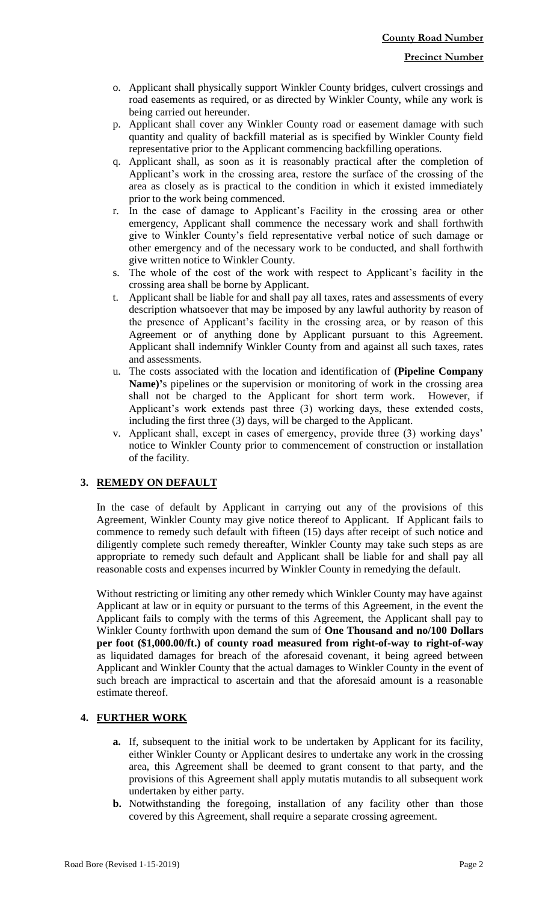- o. Applicant shall physically support Winkler County bridges, culvert crossings and road easements as required, or as directed by Winkler County, while any work is being carried out hereunder.
- p. Applicant shall cover any Winkler County road or easement damage with such quantity and quality of backfill material as is specified by Winkler County field representative prior to the Applicant commencing backfilling operations.
- q. Applicant shall, as soon as it is reasonably practical after the completion of Applicant's work in the crossing area, restore the surface of the crossing of the area as closely as is practical to the condition in which it existed immediately prior to the work being commenced.
- r. In the case of damage to Applicant's Facility in the crossing area or other emergency, Applicant shall commence the necessary work and shall forthwith give to Winkler County's field representative verbal notice of such damage or other emergency and of the necessary work to be conducted, and shall forthwith give written notice to Winkler County.
- s. The whole of the cost of the work with respect to Applicant's facility in the crossing area shall be borne by Applicant.
- t. Applicant shall be liable for and shall pay all taxes, rates and assessments of every description whatsoever that may be imposed by any lawful authority by reason of the presence of Applicant's facility in the crossing area, or by reason of this Agreement or of anything done by Applicant pursuant to this Agreement. Applicant shall indemnify Winkler County from and against all such taxes, rates and assessments.
- u. The costs associated with the location and identification of **(Pipeline Company Name)'**s pipelines or the supervision or monitoring of work in the crossing area shall not be charged to the Applicant for short term work. However, if Applicant's work extends past three (3) working days, these extended costs, including the first three (3) days, will be charged to the Applicant.
- v. Applicant shall, except in cases of emergency, provide three (3) working days' notice to Winkler County prior to commencement of construction or installation of the facility.

## **3. REMEDY ON DEFAULT**

In the case of default by Applicant in carrying out any of the provisions of this Agreement, Winkler County may give notice thereof to Applicant. If Applicant fails to commence to remedy such default with fifteen (15) days after receipt of such notice and diligently complete such remedy thereafter, Winkler County may take such steps as are appropriate to remedy such default and Applicant shall be liable for and shall pay all reasonable costs and expenses incurred by Winkler County in remedying the default.

Without restricting or limiting any other remedy which Winkler County may have against Applicant at law or in equity or pursuant to the terms of this Agreement, in the event the Applicant fails to comply with the terms of this Agreement, the Applicant shall pay to Winkler County forthwith upon demand the sum of **One Thousand and no/100 Dollars per foot (\$1,000.00/ft.) of county road measured from right-of-way to right-of-way** as liquidated damages for breach of the aforesaid covenant, it being agreed between Applicant and Winkler County that the actual damages to Winkler County in the event of such breach are impractical to ascertain and that the aforesaid amount is a reasonable estimate thereof.

## **4. FURTHER WORK**

- **a.** If, subsequent to the initial work to be undertaken by Applicant for its facility, either Winkler County or Applicant desires to undertake any work in the crossing area, this Agreement shall be deemed to grant consent to that party, and the provisions of this Agreement shall apply mutatis mutandis to all subsequent work undertaken by either party.
- **b.** Notwithstanding the foregoing, installation of any facility other than those covered by this Agreement, shall require a separate crossing agreement.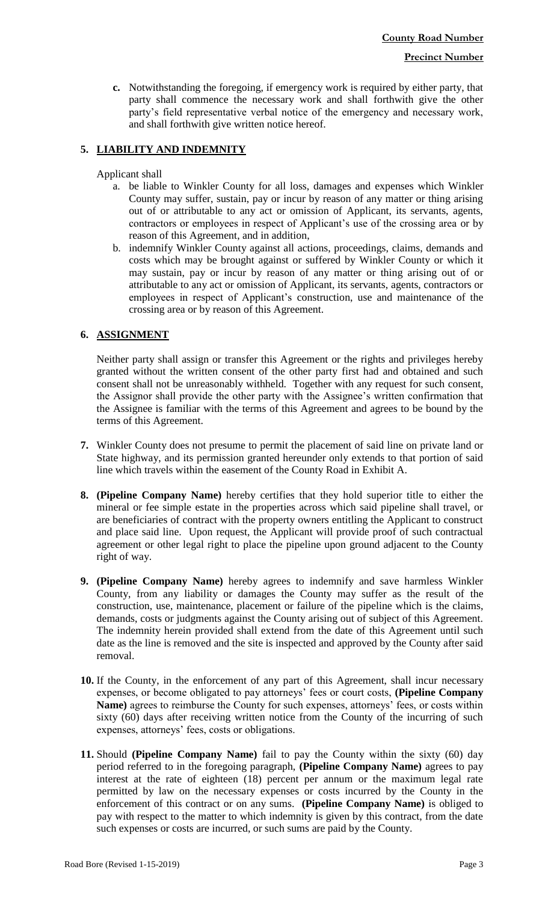**c.** Notwithstanding the foregoing, if emergency work is required by either party, that party shall commence the necessary work and shall forthwith give the other party's field representative verbal notice of the emergency and necessary work, and shall forthwith give written notice hereof.

# **5. LIABILITY AND INDEMNITY**

### Applicant shall

- a. be liable to Winkler County for all loss, damages and expenses which Winkler County may suffer, sustain, pay or incur by reason of any matter or thing arising out of or attributable to any act or omission of Applicant, its servants, agents, contractors or employees in respect of Applicant's use of the crossing area or by reason of this Agreement, and in addition,
- b. indemnify Winkler County against all actions, proceedings, claims, demands and costs which may be brought against or suffered by Winkler County or which it may sustain, pay or incur by reason of any matter or thing arising out of or attributable to any act or omission of Applicant, its servants, agents, contractors or employees in respect of Applicant's construction, use and maintenance of the crossing area or by reason of this Agreement.

### **6. ASSIGNMENT**

Neither party shall assign or transfer this Agreement or the rights and privileges hereby granted without the written consent of the other party first had and obtained and such consent shall not be unreasonably withheld. Together with any request for such consent, the Assignor shall provide the other party with the Assignee's written confirmation that the Assignee is familiar with the terms of this Agreement and agrees to be bound by the terms of this Agreement.

- **7.** Winkler County does not presume to permit the placement of said line on private land or State highway, and its permission granted hereunder only extends to that portion of said line which travels within the easement of the County Road in Exhibit A.
- **8. (Pipeline Company Name)** hereby certifies that they hold superior title to either the mineral or fee simple estate in the properties across which said pipeline shall travel, or are beneficiaries of contract with the property owners entitling the Applicant to construct and place said line. Upon request, the Applicant will provide proof of such contractual agreement or other legal right to place the pipeline upon ground adjacent to the County right of way.
- **9. (Pipeline Company Name)** hereby agrees to indemnify and save harmless Winkler County, from any liability or damages the County may suffer as the result of the construction, use, maintenance, placement or failure of the pipeline which is the claims, demands, costs or judgments against the County arising out of subject of this Agreement. The indemnity herein provided shall extend from the date of this Agreement until such date as the line is removed and the site is inspected and approved by the County after said removal.
- **10.** If the County, in the enforcement of any part of this Agreement, shall incur necessary expenses, or become obligated to pay attorneys' fees or court costs, **(Pipeline Company Name)** agrees to reimburse the County for such expenses, attorneys' fees, or costs within sixty (60) days after receiving written notice from the County of the incurring of such expenses, attorneys' fees, costs or obligations.
- **11.** Should **(Pipeline Company Name)** fail to pay the County within the sixty (60) day period referred to in the foregoing paragraph, **(Pipeline Company Name)** agrees to pay interest at the rate of eighteen (18) percent per annum or the maximum legal rate permitted by law on the necessary expenses or costs incurred by the County in the enforcement of this contract or on any sums. **(Pipeline Company Name)** is obliged to pay with respect to the matter to which indemnity is given by this contract, from the date such expenses or costs are incurred, or such sums are paid by the County.